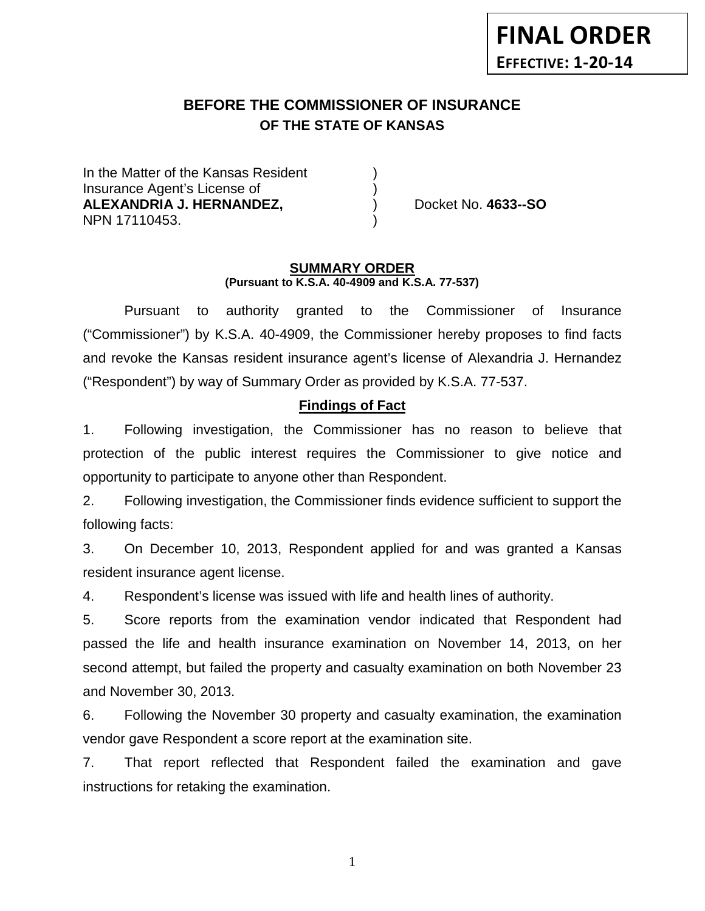# **BEFORE THE COMMISSIONER OF INSURANCE OF THE STATE OF KANSAS**

In the Matter of the Kansas Resident Insurance Agent's License of ) **ALEXANDRIA J. HERNANDEZ,** ) Docket No. **4633--SO** NPN 17110453. )

#### **SUMMARY ORDER (Pursuant to K.S.A. 40-4909 and K.S.A. 77-537)**

Pursuant to authority granted to the Commissioner of Insurance ("Commissioner") by K.S.A. 40-4909, the Commissioner hereby proposes to find facts and revoke the Kansas resident insurance agent's license of Alexandria J. Hernandez ("Respondent") by way of Summary Order as provided by K.S.A. 77-537.

### **Findings of Fact**

1. Following investigation, the Commissioner has no reason to believe that protection of the public interest requires the Commissioner to give notice and opportunity to participate to anyone other than Respondent.

2. Following investigation, the Commissioner finds evidence sufficient to support the following facts:

3. On December 10, 2013, Respondent applied for and was granted a Kansas resident insurance agent license.

4. Respondent's license was issued with life and health lines of authority.

5. Score reports from the examination vendor indicated that Respondent had passed the life and health insurance examination on November 14, 2013, on her second attempt, but failed the property and casualty examination on both November 23 and November 30, 2013.

6. Following the November 30 property and casualty examination, the examination vendor gave Respondent a score report at the examination site.

7. That report reflected that Respondent failed the examination and gave instructions for retaking the examination.

1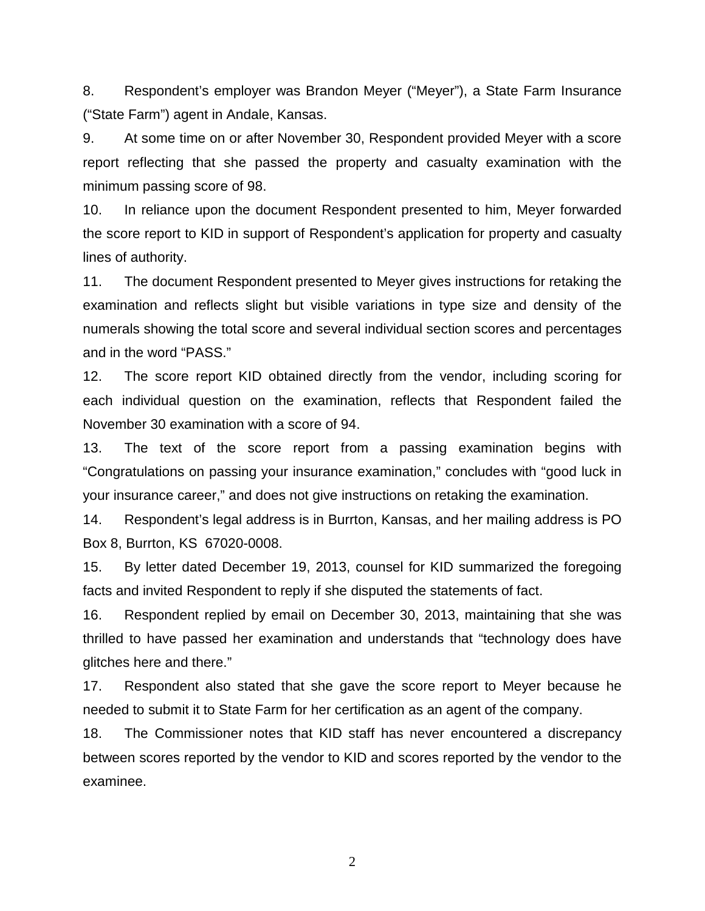8. Respondent's employer was Brandon Meyer ("Meyer"), a State Farm Insurance ("State Farm") agent in Andale, Kansas.

9. At some time on or after November 30, Respondent provided Meyer with a score report reflecting that she passed the property and casualty examination with the minimum passing score of 98.

10. In reliance upon the document Respondent presented to him, Meyer forwarded the score report to KID in support of Respondent's application for property and casualty lines of authority.

11. The document Respondent presented to Meyer gives instructions for retaking the examination and reflects slight but visible variations in type size and density of the numerals showing the total score and several individual section scores and percentages and in the word "PASS."

12. The score report KID obtained directly from the vendor, including scoring for each individual question on the examination, reflects that Respondent failed the November 30 examination with a score of 94.

13. The text of the score report from a passing examination begins with "Congratulations on passing your insurance examination," concludes with "good luck in your insurance career," and does not give instructions on retaking the examination.

14. Respondent's legal address is in Burrton, Kansas, and her mailing address is PO Box 8, Burrton, KS 67020-0008.

15. By letter dated December 19, 2013, counsel for KID summarized the foregoing facts and invited Respondent to reply if she disputed the statements of fact.

16. Respondent replied by email on December 30, 2013, maintaining that she was thrilled to have passed her examination and understands that "technology does have glitches here and there."

17. Respondent also stated that she gave the score report to Meyer because he needed to submit it to State Farm for her certification as an agent of the company.

18. The Commissioner notes that KID staff has never encountered a discrepancy between scores reported by the vendor to KID and scores reported by the vendor to the examinee.

2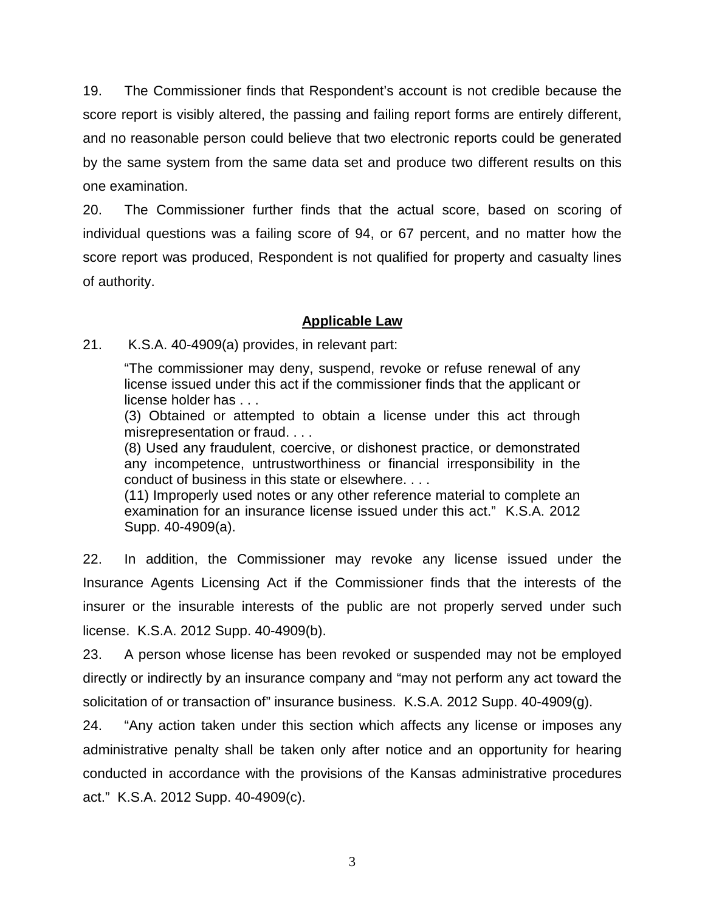19. The Commissioner finds that Respondent's account is not credible because the score report is visibly altered, the passing and failing report forms are entirely different, and no reasonable person could believe that two electronic reports could be generated by the same system from the same data set and produce two different results on this one examination.

20. The Commissioner further finds that the actual score, based on scoring of individual questions was a failing score of 94, or 67 percent, and no matter how the score report was produced, Respondent is not qualified for property and casualty lines of authority.

# **Applicable Law**

21. K.S.A. 40-4909(a) provides, in relevant part:

"The commissioner may deny, suspend, revoke or refuse renewal of any license issued under this act if the commissioner finds that the applicant or license holder has . . .

(3) Obtained or attempted to obtain a license under this act through misrepresentation or fraud. . . .

(8) Used any fraudulent, coercive, or dishonest practice, or demonstrated any incompetence, untrustworthiness or financial irresponsibility in the conduct of business in this state or elsewhere. . . .

(11) Improperly used notes or any other reference material to complete an examination for an insurance license issued under this act." K.S.A. 2012 Supp. 40-4909(a).

22. In addition, the Commissioner may revoke any license issued under the Insurance Agents Licensing Act if the Commissioner finds that the interests of the insurer or the insurable interests of the public are not properly served under such license. K.S.A. 2012 Supp. 40-4909(b).

23. A person whose license has been revoked or suspended may not be employed directly or indirectly by an insurance company and "may not perform any act toward the solicitation of or transaction of" insurance business. K.S.A. 2012 Supp. 40-4909(g).

24. "Any action taken under this section which affects any license or imposes any administrative penalty shall be taken only after notice and an opportunity for hearing conducted in accordance with the provisions of the Kansas administrative procedures act." K.S.A. 2012 Supp. 40-4909(c).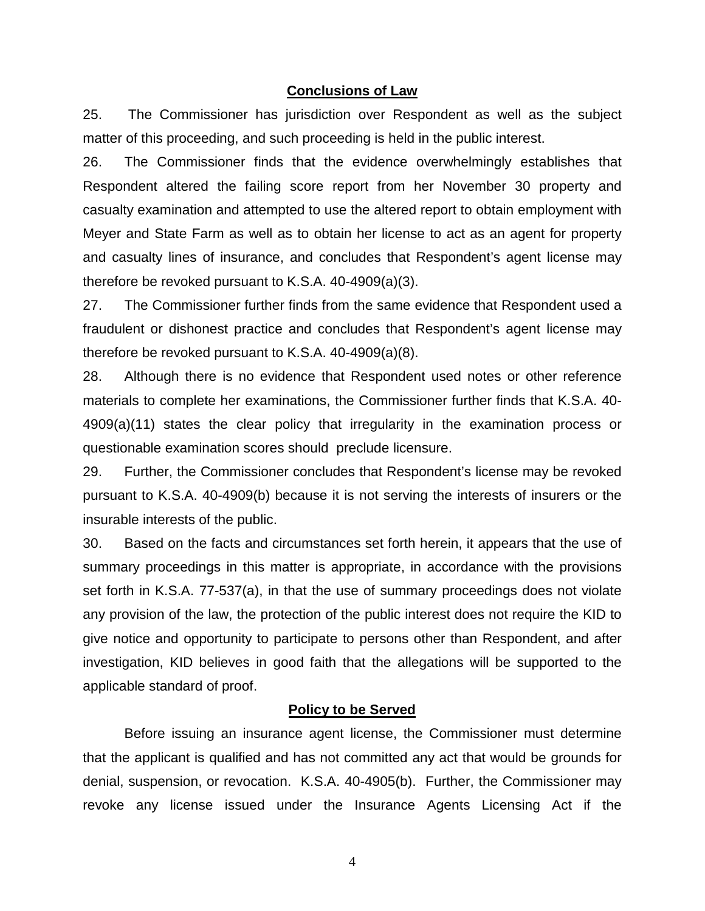#### **Conclusions of Law**

25. The Commissioner has jurisdiction over Respondent as well as the subject matter of this proceeding, and such proceeding is held in the public interest.

26. The Commissioner finds that the evidence overwhelmingly establishes that Respondent altered the failing score report from her November 30 property and casualty examination and attempted to use the altered report to obtain employment with Meyer and State Farm as well as to obtain her license to act as an agent for property and casualty lines of insurance, and concludes that Respondent's agent license may therefore be revoked pursuant to K.S.A. 40-4909(a)(3).

27. The Commissioner further finds from the same evidence that Respondent used a fraudulent or dishonest practice and concludes that Respondent's agent license may therefore be revoked pursuant to K.S.A. 40-4909(a)(8).

28. Although there is no evidence that Respondent used notes or other reference materials to complete her examinations, the Commissioner further finds that K.S.A. 40- 4909(a)(11) states the clear policy that irregularity in the examination process or questionable examination scores should preclude licensure.

29. Further, the Commissioner concludes that Respondent's license may be revoked pursuant to K.S.A. 40-4909(b) because it is not serving the interests of insurers or the insurable interests of the public.

30. Based on the facts and circumstances set forth herein, it appears that the use of summary proceedings in this matter is appropriate, in accordance with the provisions set forth in K.S.A. 77-537(a), in that the use of summary proceedings does not violate any provision of the law, the protection of the public interest does not require the KID to give notice and opportunity to participate to persons other than Respondent, and after investigation, KID believes in good faith that the allegations will be supported to the applicable standard of proof.

# **Policy to be Served**

Before issuing an insurance agent license, the Commissioner must determine that the applicant is qualified and has not committed any act that would be grounds for denial, suspension, or revocation. K.S.A. 40-4905(b). Further, the Commissioner may revoke any license issued under the Insurance Agents Licensing Act if the

4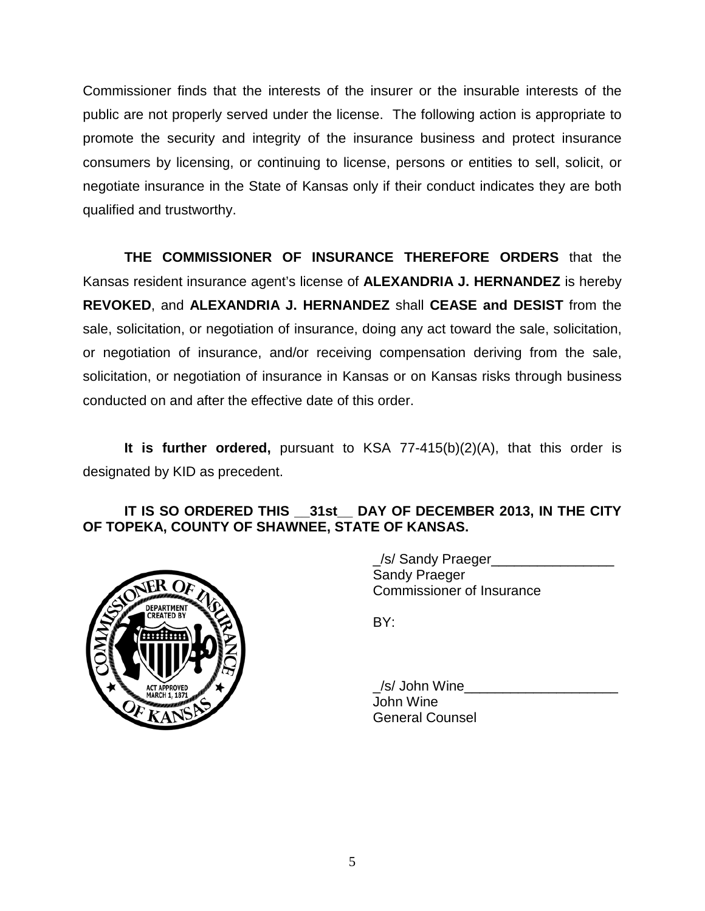Commissioner finds that the interests of the insurer or the insurable interests of the public are not properly served under the license. The following action is appropriate to promote the security and integrity of the insurance business and protect insurance consumers by licensing, or continuing to license, persons or entities to sell, solicit, or negotiate insurance in the State of Kansas only if their conduct indicates they are both qualified and trustworthy.

**THE COMMISSIONER OF INSURANCE THEREFORE ORDERS** that the Kansas resident insurance agent's license of **ALEXANDRIA J. HERNANDEZ** is hereby **REVOKED**, and **ALEXANDRIA J. HERNANDEZ** shall **CEASE and DESIST** from the sale, solicitation, or negotiation of insurance, doing any act toward the sale, solicitation, or negotiation of insurance, and/or receiving compensation deriving from the sale, solicitation, or negotiation of insurance in Kansas or on Kansas risks through business conducted on and after the effective date of this order.

**It is further ordered,** pursuant to KSA 77-415(b)(2)(A), that this order is designated by KID as precedent.

# **IT IS SO ORDERED THIS \_\_31st\_\_ DAY OF DECEMBER 2013, IN THE CITY OF TOPEKA, COUNTY OF SHAWNEE, STATE OF KANSAS.**



/s/ Sandy Praeger Sandy Praeger Commissioner of Insurance

BY:

 $\angle$ /s/ John Wine John Wine General Counsel